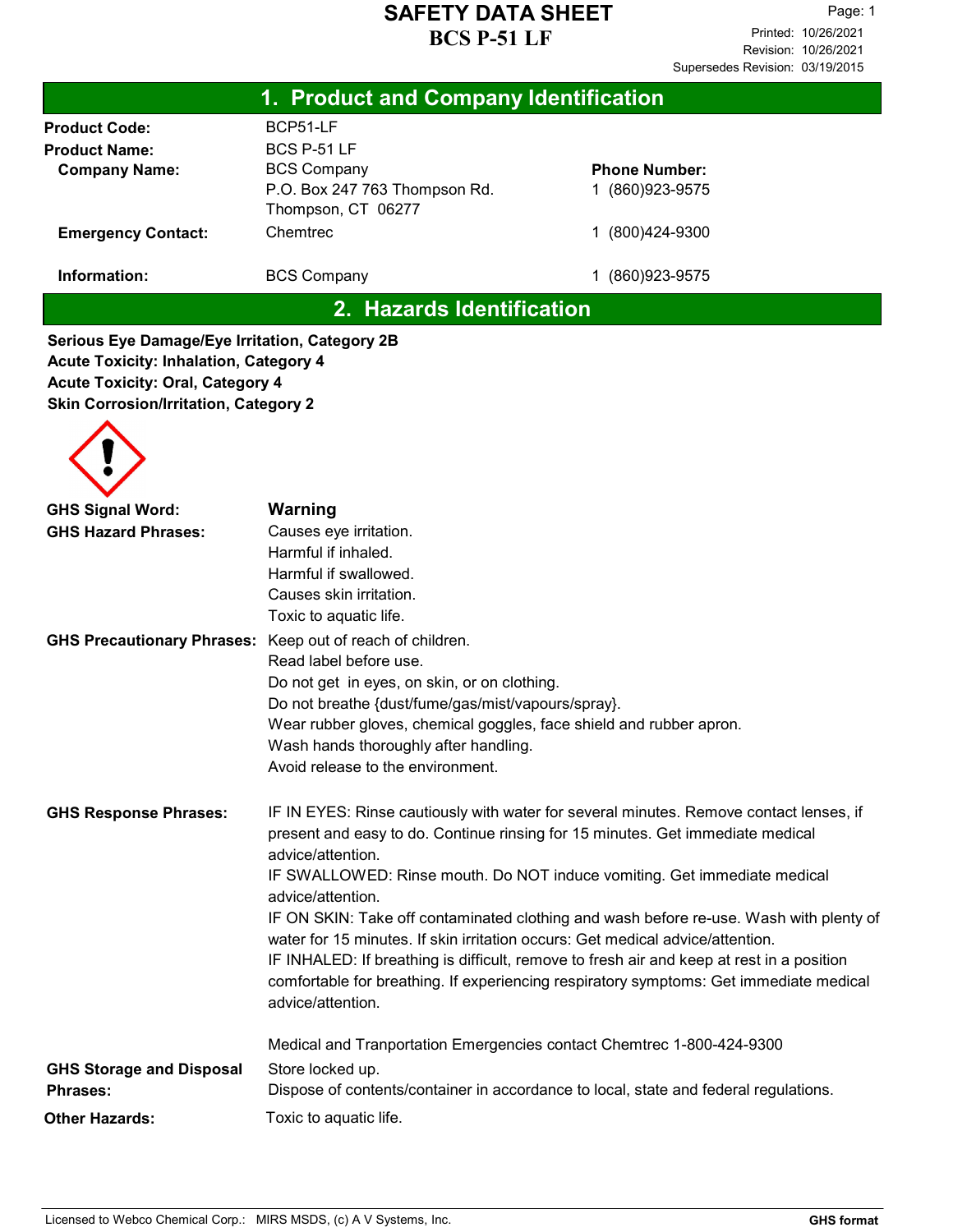| 1. Product and Company Identification                                                                                                                                                      |                                                                                                                                                                                                                                                                                                                     |                                                                                                                                                                                                                                                                                                                                                                                                                                                                                                                                       |  |
|--------------------------------------------------------------------------------------------------------------------------------------------------------------------------------------------|---------------------------------------------------------------------------------------------------------------------------------------------------------------------------------------------------------------------------------------------------------------------------------------------------------------------|---------------------------------------------------------------------------------------------------------------------------------------------------------------------------------------------------------------------------------------------------------------------------------------------------------------------------------------------------------------------------------------------------------------------------------------------------------------------------------------------------------------------------------------|--|
| <b>Product Code:</b><br><b>Product Name:</b><br><b>Company Name:</b><br><b>Emergency Contact:</b>                                                                                          | BCP51-LF<br>BCS P-51 LF<br><b>BCS Company</b><br>P.O. Box 247 763 Thompson Rd.<br>Thompson, CT 06277<br>Chemtrec                                                                                                                                                                                                    | <b>Phone Number:</b><br>1 (860) 923-9575<br>1 (800) 424-9300                                                                                                                                                                                                                                                                                                                                                                                                                                                                          |  |
| Information:                                                                                                                                                                               | <b>BCS Company</b>                                                                                                                                                                                                                                                                                                  | 1 (860) 923-9575                                                                                                                                                                                                                                                                                                                                                                                                                                                                                                                      |  |
|                                                                                                                                                                                            | 2. Hazards Identification                                                                                                                                                                                                                                                                                           |                                                                                                                                                                                                                                                                                                                                                                                                                                                                                                                                       |  |
| Serious Eye Damage/Eye Irritation, Category 2B<br><b>Acute Toxicity: Inhalation, Category 4</b><br><b>Acute Toxicity: Oral, Category 4</b><br><b>Skin Corrosion/Irritation, Category 2</b> |                                                                                                                                                                                                                                                                                                                     |                                                                                                                                                                                                                                                                                                                                                                                                                                                                                                                                       |  |
| <b>GHS Signal Word:</b>                                                                                                                                                                    | Warning                                                                                                                                                                                                                                                                                                             |                                                                                                                                                                                                                                                                                                                                                                                                                                                                                                                                       |  |
| <b>GHS Hazard Phrases:</b>                                                                                                                                                                 | Causes eye irritation.<br>Harmful if inhaled.<br>Harmful if swallowed.<br>Causes skin irritation.<br>Toxic to aquatic life.                                                                                                                                                                                         |                                                                                                                                                                                                                                                                                                                                                                                                                                                                                                                                       |  |
| <b>GHS Precautionary Phrases:</b>                                                                                                                                                          | Keep out of reach of children.<br>Read label before use.<br>Do not get in eyes, on skin, or on clothing.<br>Do not breathe {dust/fume/gas/mist/vapours/spray}.<br>Wear rubber gloves, chemical goggles, face shield and rubber apron.<br>Wash hands thoroughly after handling.<br>Avoid release to the environment. |                                                                                                                                                                                                                                                                                                                                                                                                                                                                                                                                       |  |
| <b>GHS Response Phrases:</b>                                                                                                                                                               | advice/attention.<br>advice/attention.<br>water for 15 minutes. If skin irritation occurs: Get medical advice/attention.<br>advice/attention.                                                                                                                                                                       | IF IN EYES: Rinse cautiously with water for several minutes. Remove contact lenses, if<br>present and easy to do. Continue rinsing for 15 minutes. Get immediate medical<br>IF SWALLOWED: Rinse mouth. Do NOT induce vomiting. Get immediate medical<br>IF ON SKIN: Take off contaminated clothing and wash before re-use. Wash with plenty of<br>IF INHALED: If breathing is difficult, remove to fresh air and keep at rest in a position<br>comfortable for breathing. If experiencing respiratory symptoms: Get immediate medical |  |
| <b>GHS Storage and Disposal</b><br><b>Phrases:</b>                                                                                                                                         | Medical and Tranportation Emergencies contact Chemtrec 1-800-424-9300<br>Store locked up.                                                                                                                                                                                                                           |                                                                                                                                                                                                                                                                                                                                                                                                                                                                                                                                       |  |
| <b>Other Hazards:</b>                                                                                                                                                                      | Toxic to aquatic life.                                                                                                                                                                                                                                                                                              | Dispose of contents/container in accordance to local, state and federal regulations.                                                                                                                                                                                                                                                                                                                                                                                                                                                  |  |
|                                                                                                                                                                                            |                                                                                                                                                                                                                                                                                                                     |                                                                                                                                                                                                                                                                                                                                                                                                                                                                                                                                       |  |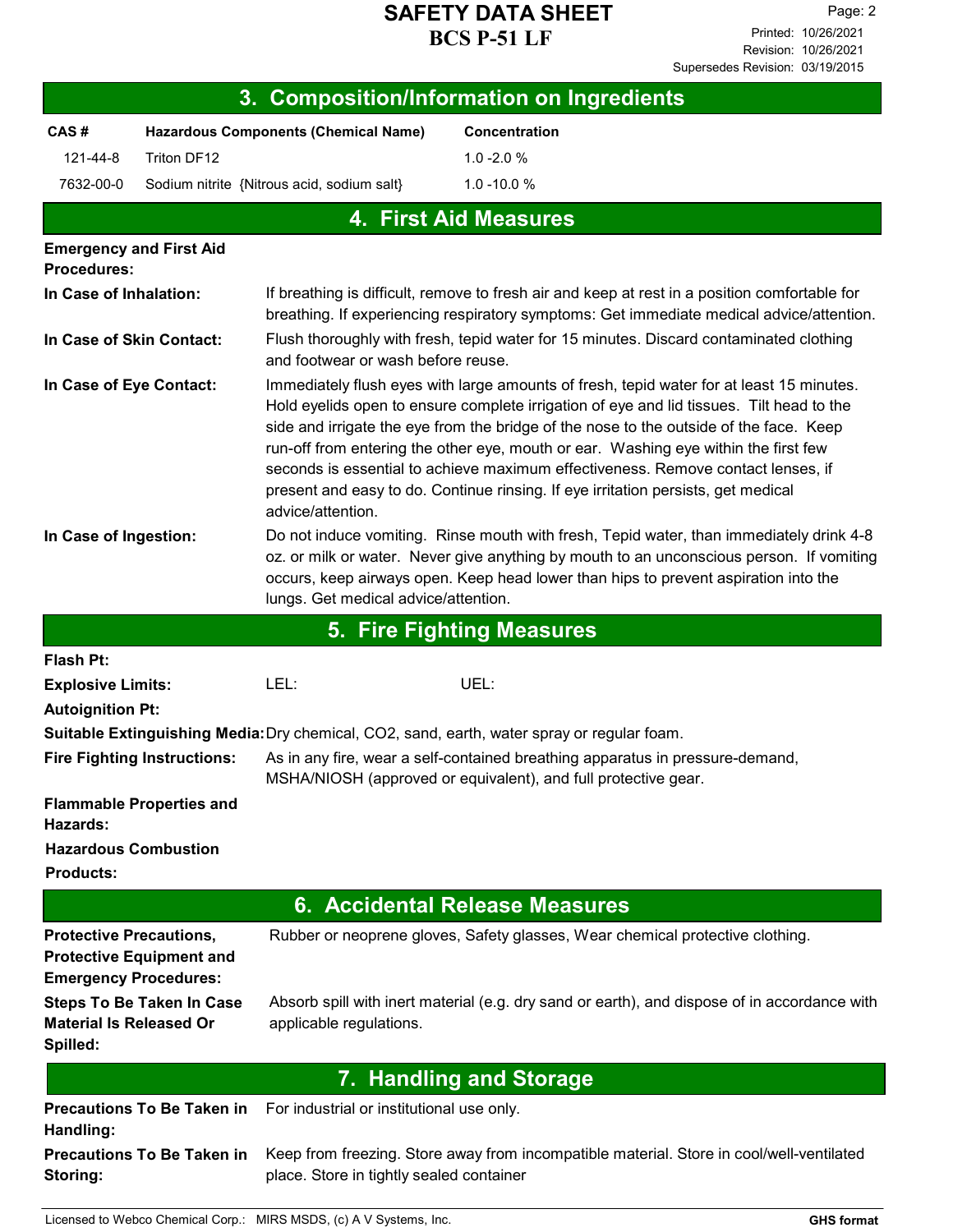| 3. Composition/Information on Ingredients                                                         |                                   |                                                                                                                                                                                                                                                                                                                                                                                                                                                                                                                                                                     |                                                                                              |  |  |
|---------------------------------------------------------------------------------------------------|-----------------------------------|---------------------------------------------------------------------------------------------------------------------------------------------------------------------------------------------------------------------------------------------------------------------------------------------------------------------------------------------------------------------------------------------------------------------------------------------------------------------------------------------------------------------------------------------------------------------|----------------------------------------------------------------------------------------------|--|--|
| CAS#                                                                                              |                                   | <b>Hazardous Components (Chemical Name)</b>                                                                                                                                                                                                                                                                                                                                                                                                                                                                                                                         | Concentration                                                                                |  |  |
| 121-44-8                                                                                          | Triton DF12                       |                                                                                                                                                                                                                                                                                                                                                                                                                                                                                                                                                                     | $1.0 - 2.0 %$                                                                                |  |  |
| 7632-00-0                                                                                         |                                   | Sodium nitrite {Nitrous acid, sodium salt}                                                                                                                                                                                                                                                                                                                                                                                                                                                                                                                          | $1.0 - 10.0 %$                                                                               |  |  |
|                                                                                                   |                                   |                                                                                                                                                                                                                                                                                                                                                                                                                                                                                                                                                                     | <b>4. First Aid Measures</b>                                                                 |  |  |
| <b>Emergency and First Aid</b>                                                                    |                                   |                                                                                                                                                                                                                                                                                                                                                                                                                                                                                                                                                                     |                                                                                              |  |  |
| Procedures:                                                                                       |                                   |                                                                                                                                                                                                                                                                                                                                                                                                                                                                                                                                                                     |                                                                                              |  |  |
| In Case of Inhalation:                                                                            |                                   | If breathing is difficult, remove to fresh air and keep at rest in a position comfortable for<br>breathing. If experiencing respiratory symptoms: Get immediate medical advice/attention.                                                                                                                                                                                                                                                                                                                                                                           |                                                                                              |  |  |
| In Case of Skin Contact:                                                                          |                                   | Flush thoroughly with fresh, tepid water for 15 minutes. Discard contaminated clothing<br>and footwear or wash before reuse.                                                                                                                                                                                                                                                                                                                                                                                                                                        |                                                                                              |  |  |
| In Case of Eye Contact:                                                                           |                                   | Immediately flush eyes with large amounts of fresh, tepid water for at least 15 minutes.<br>Hold eyelids open to ensure complete irrigation of eye and lid tissues. Tilt head to the<br>side and irrigate the eye from the bridge of the nose to the outside of the face. Keep<br>run-off from entering the other eye, mouth or ear. Washing eye within the first few<br>seconds is essential to achieve maximum effectiveness. Remove contact lenses, if<br>present and easy to do. Continue rinsing. If eye irritation persists, get medical<br>advice/attention. |                                                                                              |  |  |
| In Case of Ingestion:                                                                             |                                   | Do not induce vomiting. Rinse mouth with fresh, Tepid water, than immediately drink 4-8<br>oz. or milk or water. Never give anything by mouth to an unconscious person. If vomiting<br>occurs, keep airways open. Keep head lower than hips to prevent aspiration into the<br>lungs. Get medical advice/attention.                                                                                                                                                                                                                                                  |                                                                                              |  |  |
|                                                                                                   |                                   |                                                                                                                                                                                                                                                                                                                                                                                                                                                                                                                                                                     | 5. Fire Fighting Measures                                                                    |  |  |
| Flash Pt:                                                                                         |                                   |                                                                                                                                                                                                                                                                                                                                                                                                                                                                                                                                                                     |                                                                                              |  |  |
| <b>Explosive Limits:</b>                                                                          |                                   | LEL:                                                                                                                                                                                                                                                                                                                                                                                                                                                                                                                                                                | UEL:                                                                                         |  |  |
| <b>Autoignition Pt:</b>                                                                           |                                   |                                                                                                                                                                                                                                                                                                                                                                                                                                                                                                                                                                     |                                                                                              |  |  |
|                                                                                                   |                                   |                                                                                                                                                                                                                                                                                                                                                                                                                                                                                                                                                                     | Suitable Extinguishing Media: Dry chemical, CO2, sand, earth, water spray or regular foam.   |  |  |
| <b>Fire Fighting Instructions:</b>                                                                |                                   | As in any fire, wear a self-contained breathing apparatus in pressure-demand,<br>MSHA/NIOSH (approved or equivalent), and full protective gear.                                                                                                                                                                                                                                                                                                                                                                                                                     |                                                                                              |  |  |
| <b>Flammable Properties and</b><br>Hazards:                                                       |                                   |                                                                                                                                                                                                                                                                                                                                                                                                                                                                                                                                                                     |                                                                                              |  |  |
| <b>Hazardous Combustion</b><br><b>Products:</b>                                                   |                                   |                                                                                                                                                                                                                                                                                                                                                                                                                                                                                                                                                                     |                                                                                              |  |  |
| 6. Accidental Release Measures                                                                    |                                   |                                                                                                                                                                                                                                                                                                                                                                                                                                                                                                                                                                     |                                                                                              |  |  |
| <b>Protective Precautions,</b><br><b>Protective Equipment and</b><br><b>Emergency Procedures:</b> |                                   |                                                                                                                                                                                                                                                                                                                                                                                                                                                                                                                                                                     | Rubber or neoprene gloves, Safety glasses, Wear chemical protective clothing.                |  |  |
| <b>Material Is Released Or</b><br>Spilled:                                                        | <b>Steps To Be Taken In Case</b>  | applicable regulations.                                                                                                                                                                                                                                                                                                                                                                                                                                                                                                                                             | Absorb spill with inert material (e.g. dry sand or earth), and dispose of in accordance with |  |  |
|                                                                                                   |                                   |                                                                                                                                                                                                                                                                                                                                                                                                                                                                                                                                                                     | 7. Handling and Storage                                                                      |  |  |
| Handling:                                                                                         | <b>Precautions To Be Taken in</b> | For industrial or institutional use only.                                                                                                                                                                                                                                                                                                                                                                                                                                                                                                                           |                                                                                              |  |  |
| Storing:                                                                                          | <b>Precautions To Be Taken in</b> | place. Store in tightly sealed container                                                                                                                                                                                                                                                                                                                                                                                                                                                                                                                            | Keep from freezing. Store away from incompatible material. Store in cool/well-ventilated     |  |  |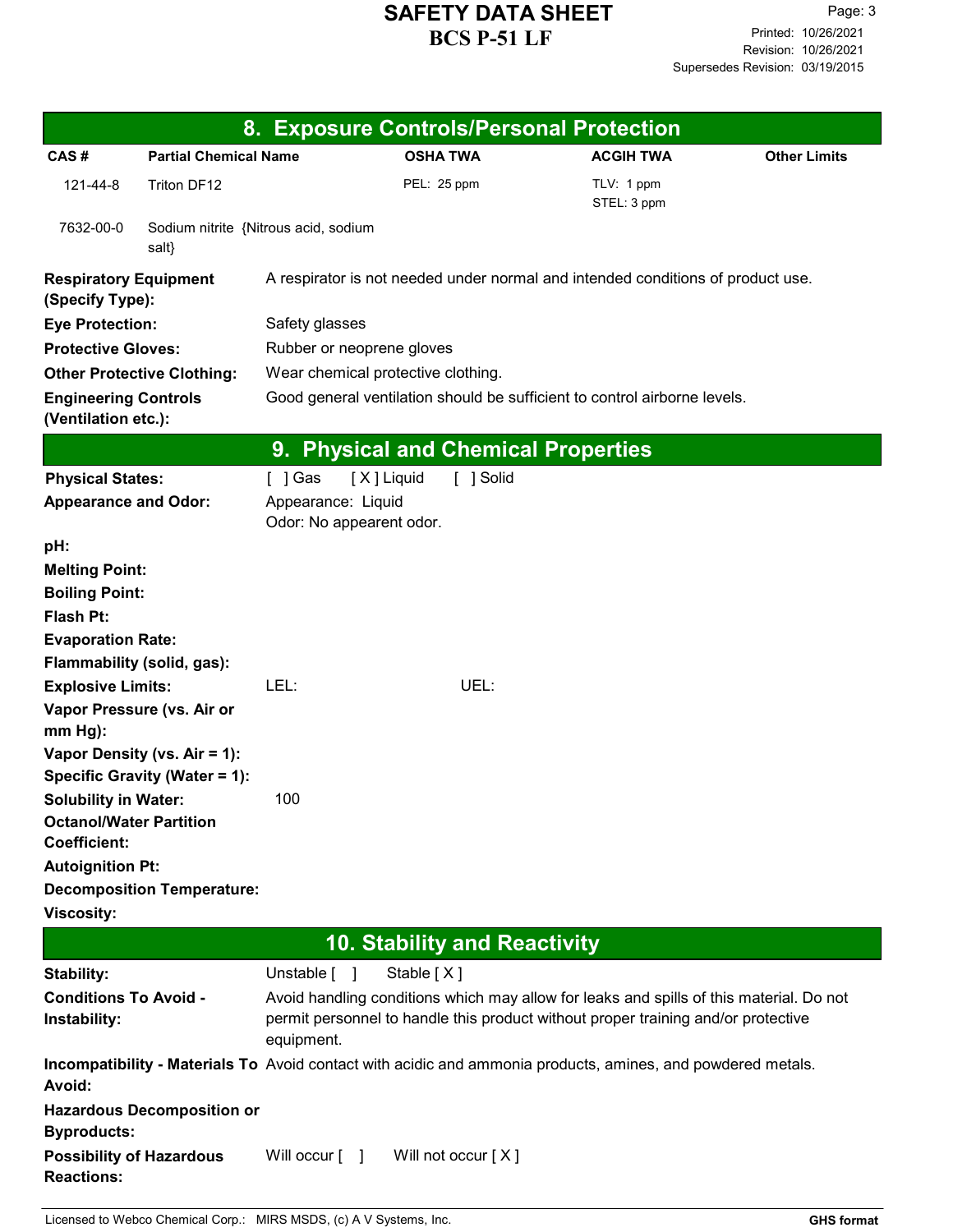|                                                        |                                               | 8. Exposure Controls/Personal Protection                                                                                                                                                   |                                     |                                                                                                             |                     |  |
|--------------------------------------------------------|-----------------------------------------------|--------------------------------------------------------------------------------------------------------------------------------------------------------------------------------------------|-------------------------------------|-------------------------------------------------------------------------------------------------------------|---------------------|--|
| CAS#                                                   | <b>Partial Chemical Name</b>                  |                                                                                                                                                                                            | <b>OSHA TWA</b>                     | <b>ACGIH TWA</b>                                                                                            | <b>Other Limits</b> |  |
| 121-44-8                                               | Triton DF12                                   |                                                                                                                                                                                            | PEL: 25 ppm                         | TLV: 1 ppm<br>STEL: 3 ppm                                                                                   |                     |  |
| 7632-00-0                                              | Sodium nitrite {Nitrous acid, sodium<br>salt} |                                                                                                                                                                                            |                                     |                                                                                                             |                     |  |
| <b>Respiratory Equipment</b><br>(Specify Type):        |                                               |                                                                                                                                                                                            |                                     | A respirator is not needed under normal and intended conditions of product use.                             |                     |  |
| <b>Eye Protection:</b>                                 |                                               | Safety glasses                                                                                                                                                                             |                                     |                                                                                                             |                     |  |
| <b>Protective Gloves:</b>                              |                                               | Rubber or neoprene gloves                                                                                                                                                                  |                                     |                                                                                                             |                     |  |
| <b>Other Protective Clothing:</b>                      |                                               | Wear chemical protective clothing.                                                                                                                                                         |                                     |                                                                                                             |                     |  |
| <b>Engineering Controls</b><br>(Ventilation etc.):     |                                               | Good general ventilation should be sufficient to control airborne levels.                                                                                                                  |                                     |                                                                                                             |                     |  |
|                                                        |                                               | 9. Physical and Chemical Properties                                                                                                                                                        |                                     |                                                                                                             |                     |  |
| <b>Physical States:</b><br><b>Appearance and Odor:</b> |                                               | [X] Liquid<br>$[$ ] Gas<br>Appearance: Liquid                                                                                                                                              | [ ] Solid                           |                                                                                                             |                     |  |
|                                                        |                                               | Odor: No appearent odor.                                                                                                                                                                   |                                     |                                                                                                             |                     |  |
| pH:                                                    |                                               |                                                                                                                                                                                            |                                     |                                                                                                             |                     |  |
| <b>Melting Point:</b><br><b>Boiling Point:</b>         |                                               |                                                                                                                                                                                            |                                     |                                                                                                             |                     |  |
| <b>Flash Pt:</b>                                       |                                               |                                                                                                                                                                                            |                                     |                                                                                                             |                     |  |
| <b>Evaporation Rate:</b>                               |                                               |                                                                                                                                                                                            |                                     |                                                                                                             |                     |  |
| Flammability (solid, gas):                             |                                               |                                                                                                                                                                                            |                                     |                                                                                                             |                     |  |
| <b>Explosive Limits:</b>                               |                                               | LEL:                                                                                                                                                                                       | UEL:                                |                                                                                                             |                     |  |
| Vapor Pressure (vs. Air or<br>$mm Hg$ :                |                                               |                                                                                                                                                                                            |                                     |                                                                                                             |                     |  |
|                                                        | Vapor Density (vs. Air = 1):                  |                                                                                                                                                                                            |                                     |                                                                                                             |                     |  |
|                                                        | Specific Gravity (Water = 1):                 |                                                                                                                                                                                            |                                     |                                                                                                             |                     |  |
| <b>Solubility in Water:</b>                            |                                               | 100                                                                                                                                                                                        |                                     |                                                                                                             |                     |  |
| <b>Octanol/Water Partition</b><br><b>Coefficient:</b>  |                                               |                                                                                                                                                                                            |                                     |                                                                                                             |                     |  |
| <b>Autoignition Pt:</b>                                |                                               |                                                                                                                                                                                            |                                     |                                                                                                             |                     |  |
|                                                        | <b>Decomposition Temperature:</b>             |                                                                                                                                                                                            |                                     |                                                                                                             |                     |  |
| <b>Viscosity:</b>                                      |                                               |                                                                                                                                                                                            |                                     |                                                                                                             |                     |  |
|                                                        |                                               |                                                                                                                                                                                            | <b>10. Stability and Reactivity</b> |                                                                                                             |                     |  |
| Stability:                                             |                                               | Stable [X]<br>Unstable [ ]                                                                                                                                                                 |                                     |                                                                                                             |                     |  |
| <b>Conditions To Avoid -</b>                           |                                               |                                                                                                                                                                                            |                                     |                                                                                                             |                     |  |
| Instability:                                           |                                               | Avoid handling conditions which may allow for leaks and spills of this material. Do not<br>permit personnel to handle this product without proper training and/or protective<br>equipment. |                                     |                                                                                                             |                     |  |
| Avoid:                                                 |                                               |                                                                                                                                                                                            |                                     | Incompatibility - Materials To Avoid contact with acidic and ammonia products, amines, and powdered metals. |                     |  |
| <b>Byproducts:</b>                                     | <b>Hazardous Decomposition or</b>             |                                                                                                                                                                                            |                                     |                                                                                                             |                     |  |
| <b>Possibility of Hazardous</b><br><b>Reactions:</b>   |                                               | Will occur $\lceil \quad \rceil$                                                                                                                                                           | Will not occur [X]                  |                                                                                                             |                     |  |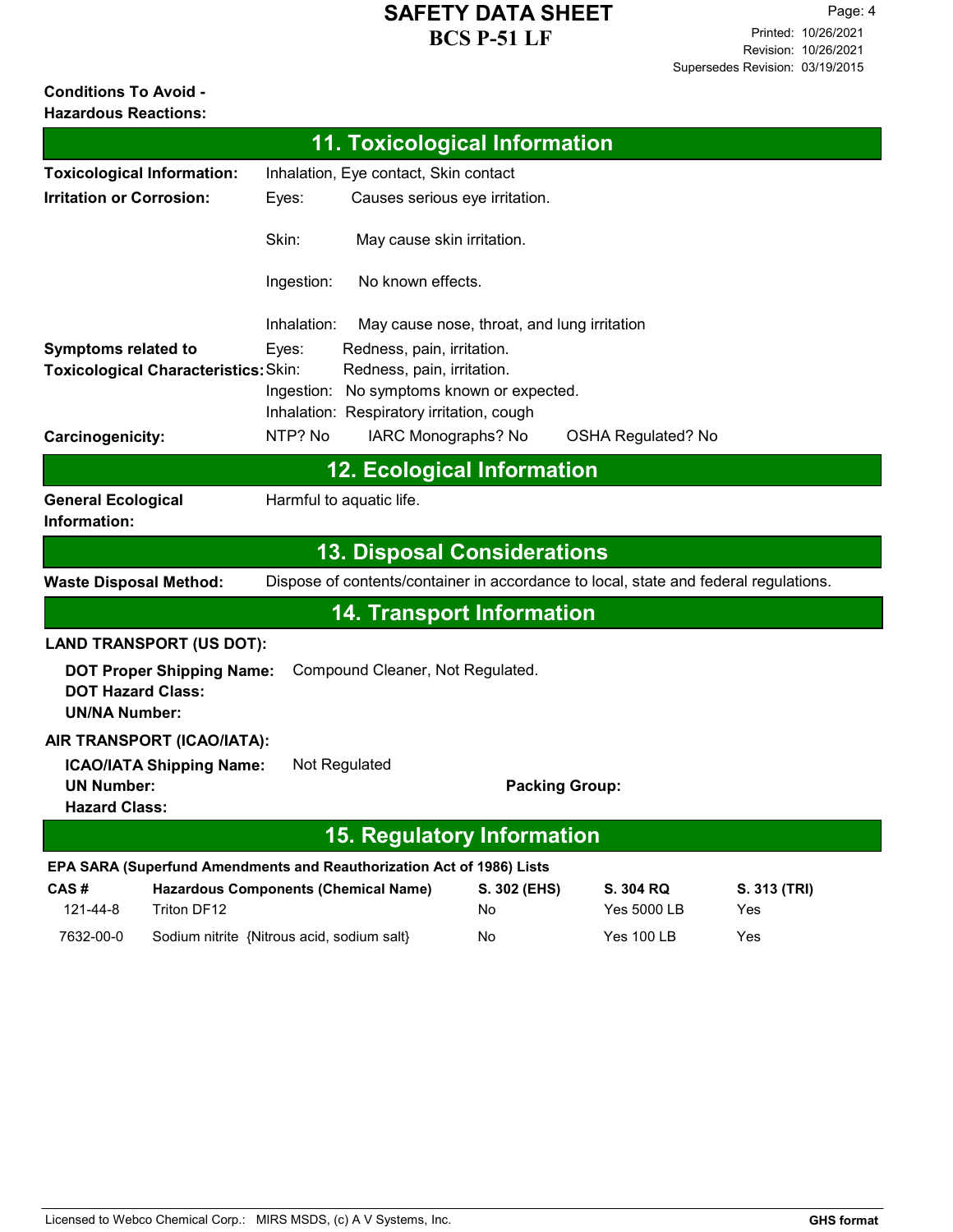#### **Conditions To Avoid - Hazardous Reactions:**

|                                                                                                                                                      |                                                            |                      | <b>11. Toxicological Information</b>                                                                                                                 |                    |                                                                                      |                     |
|------------------------------------------------------------------------------------------------------------------------------------------------------|------------------------------------------------------------|----------------------|------------------------------------------------------------------------------------------------------------------------------------------------------|--------------------|--------------------------------------------------------------------------------------|---------------------|
|                                                                                                                                                      | <b>Toxicological Information:</b>                          |                      | Inhalation, Eye contact, Skin contact                                                                                                                |                    |                                                                                      |                     |
| <b>Irritation or Corrosion:</b>                                                                                                                      |                                                            | Eyes:                | Causes serious eye irritation.                                                                                                                       |                    |                                                                                      |                     |
|                                                                                                                                                      |                                                            | Skin:                | May cause skin irritation.                                                                                                                           |                    |                                                                                      |                     |
|                                                                                                                                                      |                                                            | Ingestion:           | No known effects.                                                                                                                                    |                    |                                                                                      |                     |
| <b>Symptoms related to</b>                                                                                                                           | Toxicological Characteristics: Skin:                       | Inhalation:<br>Eyes: | May cause nose, throat, and lung irritation<br>Redness, pain, irritation.<br>Redness, pain, irritation.<br>Ingestion: No symptoms known or expected. |                    |                                                                                      |                     |
|                                                                                                                                                      |                                                            |                      | Inhalation: Respiratory irritation, cough                                                                                                            |                    |                                                                                      |                     |
| Carcinogenicity:                                                                                                                                     |                                                            | NTP? No              | IARC Monographs? No                                                                                                                                  |                    | <b>OSHA Regulated? No</b>                                                            |                     |
|                                                                                                                                                      |                                                            |                      | <b>12. Ecological Information</b>                                                                                                                    |                    |                                                                                      |                     |
| <b>General Ecological</b><br>Information:                                                                                                            |                                                            |                      | Harmful to aquatic life.                                                                                                                             |                    |                                                                                      |                     |
|                                                                                                                                                      |                                                            |                      | <b>13. Disposal Considerations</b>                                                                                                                   |                    |                                                                                      |                     |
| <b>Waste Disposal Method:</b>                                                                                                                        |                                                            |                      |                                                                                                                                                      |                    | Dispose of contents/container in accordance to local, state and federal regulations. |                     |
|                                                                                                                                                      |                                                            |                      | <b>14. Transport Information</b>                                                                                                                     |                    |                                                                                      |                     |
|                                                                                                                                                      | <b>LAND TRANSPORT (US DOT):</b>                            |                      |                                                                                                                                                      |                    |                                                                                      |                     |
| <b>DOT Hazard Class:</b><br><b>UN/NA Number:</b>                                                                                                     | <b>DOT Proper Shipping Name:</b>                           |                      | Compound Cleaner, Not Regulated.                                                                                                                     |                    |                                                                                      |                     |
| AIR TRANSPORT (ICAO/IATA):<br><b>ICAO/IATA Shipping Name:</b><br>Not Regulated<br><b>UN Number:</b><br><b>Packing Group:</b><br><b>Hazard Class:</b> |                                                            |                      |                                                                                                                                                      |                    |                                                                                      |                     |
| <b>15. Regulatory Information</b>                                                                                                                    |                                                            |                      |                                                                                                                                                      |                    |                                                                                      |                     |
| EPA SARA (Superfund Amendments and Reauthorization Act of 1986) Lists                                                                                |                                                            |                      |                                                                                                                                                      |                    |                                                                                      |                     |
| CAS#<br>121-44-8                                                                                                                                     | <b>Hazardous Components (Chemical Name)</b><br>Triton DF12 |                      |                                                                                                                                                      | S. 302 (EHS)<br>No | S. 304 RQ<br>Yes 5000 LB                                                             | S. 313 (TRI)<br>Yes |
| 7632-00-0                                                                                                                                            | Sodium nitrite {Nitrous acid, sodium salt}                 |                      |                                                                                                                                                      | No                 | <b>Yes 100 LB</b>                                                                    | Yes                 |